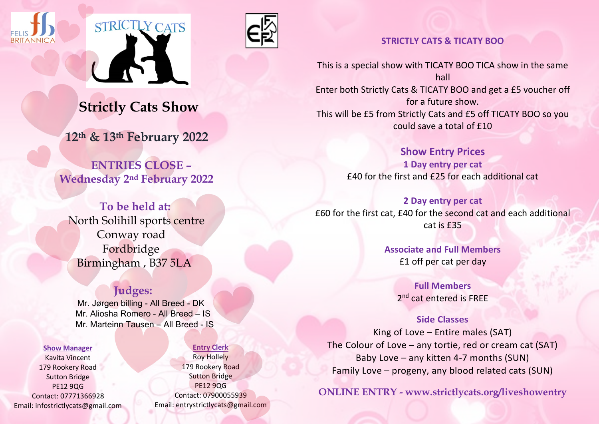





## **STRICTLY CATS & TICATY BOO**

This is a special show with TICATY BOO TICA show in the same hall Enter both Strictly Cats & TICATY BOO and get a £5 voucher off for a future show. This will be £5 from Strictly Cats and £5 off TICATY BOO so you could save a total of £10

> **Show Entry Prices 1 Day entry per cat** £40 for the first and £25 for each additional cat

**2 Day entry per cat** £60 for the first cat, £40 for the second cat and each additional  $cat$  is  $f35$ 

> **Associate and Full Members** £1 off per cat per day

> > **Full Members**  2<sup>nd</sup> cat entered is FREE

**Side Classes** King of Love – Entire males (SAT) The Colour of Love – any tortie, red or cream cat (SAT) Baby Love – any kitten 4-7 months (SUN) Family Love – progeny, any blood related cats (SUN)

**ONLINE ENTRY - www.strictlycats.org/liveshowentry**

 **Strictly Cats Show**

 **12th & 13th February 2022**

 **ENTRIES CLOSE – Wednesday 2nd February 2022**

 **To be held at:** North Solihill sports centre Conway road Fordbridge Birmingham , B37 5LA

# **Judges:**

 Mr. Jørgen billing - All Breed - DK Mr. Aliosha Romero - All Breed – IS Mr. Marteinn Tausen – All Breed - IS

#### **Show Manager**

Kavita Vincent 179 Rookery Road Sutton Bridge PE12 9QG Contact: 07771366928 Email: infostrictlycats@gmail.com

### **Entry Clerk**

Roy Hollely 179 Rookery Road Sutton Bridge PE12 9QG Contact: 07900055939 Email: entrystrictlycats@gmail.com